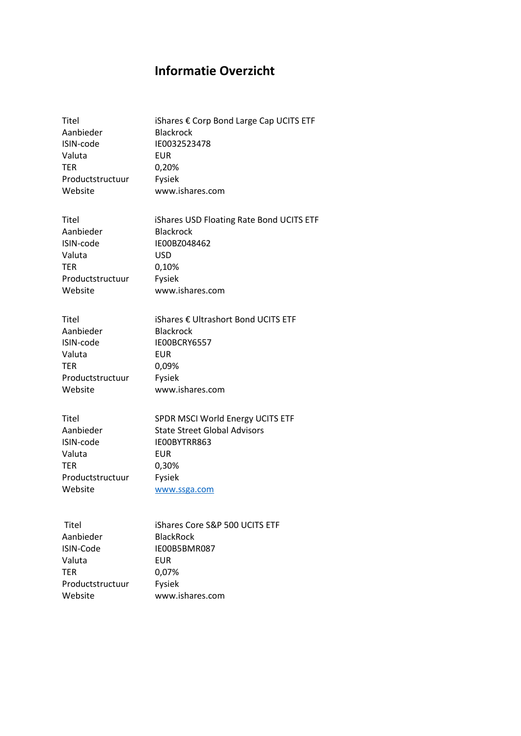## **Informatie Overzicht**

| <b>Titel</b>     | iShares € Corp Bond Large Cap UCITS ETF  |
|------------------|------------------------------------------|
| Aanbieder        | <b>Blackrock</b>                         |
| ISIN-code        | IE0032523478                             |
| Valuta           | EUR                                      |
| <b>TER</b>       | 0,20%                                    |
| Productstructuur | Fysiek                                   |
| Website          | www.ishares.com                          |
| Titel            | iShares USD Floating Rate Bond UCITS ETF |
| Aanbieder        | <b>Blackrock</b>                         |
| ISIN-code        | IE00BZ048462                             |
| Valuta           | <b>USD</b>                               |
| TER              | 0,10%                                    |
| Productstructuur | Fysiek                                   |
| Website          | www.ishares.com                          |
| Titel            | iShares € Ultrashort Bond UCITS ETF      |
| Aanbieder        | <b>Blackrock</b>                         |
| ISIN-code        | IE00BCRY6557                             |
| Valuta           | <b>EUR</b>                               |
| <b>TER</b>       | 0,09%                                    |
| Productstructuur | Fysiek                                   |
| Website          | www.ishares.com                          |
| Titel            | SPDR MSCI World Energy UCITS ETF         |
| Aanbieder        | <b>State Street Global Advisors</b>      |
| ISIN-code        | IE00BYTRR863                             |
| Valuta           | <b>EUR</b>                               |
| TER              | 0,30%                                    |
| Productstructuur | Fysiek                                   |
| Website          | www.ssga.com                             |
| Titel            | iShares Core S&P 500 UCITS ETF           |
| Aanbieder        | <b>BlackRock</b>                         |

| <b>BlackRock</b> |
|------------------|
| IE00B5BMR087     |
| EUR              |
| 0.07%            |
| Fysiek           |
| www.ishares.com  |
|                  |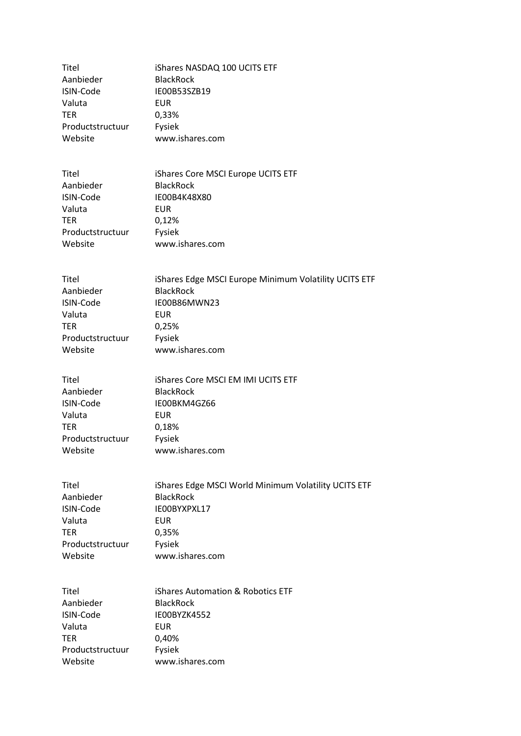| Titel            | iShares NASDAQ 100 UCITS ETF |
|------------------|------------------------------|
| Aanbieder        | <b>BlackRock</b>             |
| ISIN-Code        | IE00B53SZB19                 |
| Valuta           | EUR                          |
| <b>TER</b>       | 0,33%                        |
| Productstructuur | Fysiek                       |
| Website          | www.ishares.com              |

| Titel            | iShares Core MSCI Europe UCITS ETF |
|------------------|------------------------------------|
| Aanbieder        | <b>BlackRock</b>                   |
| ISIN-Code        | IE00B4K48X80                       |
| Valuta           | EUR                                |
| <b>TER</b>       | 0,12%                              |
| Productstructuur | Fysiek                             |
| Website          | www.ishares.com                    |

| Titel            | iShares Edge MSCI Europe Minimum Volatility UCITS ETF |
|------------------|-------------------------------------------------------|
| Aanbieder        | <b>BlackRock</b>                                      |
| ISIN-Code        | IE00B86MWN23                                          |
| Valuta           | EUR                                                   |
| <b>TER</b>       | 0.25%                                                 |
| Productstructuur | Fysiek                                                |
| Website          | www.ishares.com                                       |

| Titel            | <b>iShares Core MSCI EM IMI UCITS ETF</b> |
|------------------|-------------------------------------------|
| Aanbieder        | <b>BlackRock</b>                          |
| ISIN-Code        | IE00BKM4GZ66                              |
| Valuta           | <b>EUR</b>                                |
| <b>TER</b>       | 0,18%                                     |
| Productstructuur | Fysiek                                    |
| Website          | www.ishares.com                           |

| Titel            | iShares Edge MSCI World Minimum Volatility UCITS ETF |
|------------------|------------------------------------------------------|
| Aanbieder        | <b>BlackRock</b>                                     |
| ISIN-Code        | IE00BYXPXL17                                         |
| Valuta           | <b>EUR</b>                                           |
| <b>TER</b>       | 0,35%                                                |
| Productstructuur | Fysiek                                               |
| Website          | www.ishares.com                                      |

| Titel            | iShares Automation & Robotics ETF |
|------------------|-----------------------------------|
| Aanbieder        | <b>BlackRock</b>                  |
| ISIN-Code        | IE00BYZK4552                      |
| Valuta           | EUR                               |
| <b>TER</b>       | 0.40%                             |
| Productstructuur | Fysiek                            |
| Website          | www.ishares.com                   |